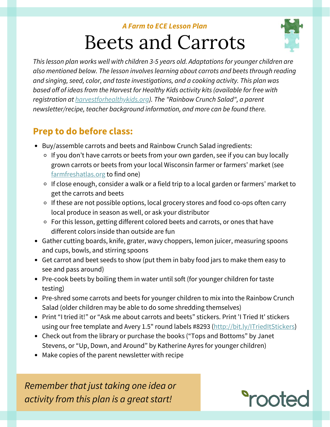#### *A Farm to ECE Lesson Plan*

# Beets and Carrots



*This lesson plan works well with children 3-5 years old. Adaptations for younger children are also mentioned below. The lesson involves learning about carrots and beets through reading and singing, seed, color, and taste investigations, and a cooking activity. This plan was based off of ideas from the Harvest for Healthy Kids activity kits (available for free with registration at [harvestforhealthykids.org](http://www.harvestforhealthykids.org/)). The "Rainbow Crunch Salad", a parent newsletter/recipe, teacher background information, and more can be found there.*

## **Prep to do before class:**

- Buy/assemble carrots and beets and Rainbow Crunch Salad ingredients:
	- $\circ$  If you don't have carrots or beets from your own garden, see if you can buy locally grown carrots or beets from your local Wisconsin farmer or farmers' market (see [farmfreshatlas.org](https://farmfreshatlas.org/) to find one)
	- If close enough, consider a walk or a field trip to a local garden or farmers' market to get the carrots and beets
	- If these are not possible options, local grocery stores and food co-ops often carry local produce in season as well, or ask your distributor
	- For this lesson, getting different colored beets and carrots, or ones that have different colors inside than outside are fun
- Gather cutting boards, knife, grater, wavy choppers, lemon juicer, measuring spoons and cups, bowls, and stirring spoons
- Get carrot and beet seeds to show (put them in baby food jars to make them easy to see and pass around)
- Pre-cook beets by boiling them in water until soft (for younger children for taste testing)
- Pre-shred some carrots and beets for younger children to mix into the Rainbow Crunch Salad (older children may be able to do some shredding themselves)
- Print "I tried it!" or "Ask me about carrots and beets" stickers. Print 'I Tried It' stickers using our free template and Avery 1.5" round labels #8293 ([http://bit.ly/ITriedItStickers\)](http://bit.ly/ITriedItStickers)
- Check out from the library or purchase the books ("Tops and Bottoms" by Janet Stevens, or "Up, Down, and Around" by Katherine Ayres for younger children)
- Make copies of the parent newsletter with recipe

*Remember that just taking one idea or activity from this plan is a great start!*

# *<u>Prooted</u>*